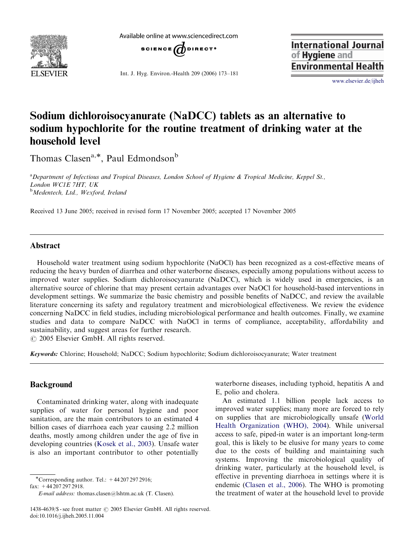

Available online at www.sciencedirect.com



Int. J. Hyg. Environ.-Health 209 (2006) 173–181

**International Journal** of Hygiene and **Environmental Health** 

<www.elsevier.de/ijheh>

# Sodium dichloroisocyanurate (NaDCC) tablets as an alternative to sodium hypochlorite for the routine treatment of drinking water at the household level

Thomas Clasen<sup>a,\*</sup>, Paul Edmondson<sup>b</sup>

<sup>a</sup> Department of Infectious and Tropical Diseases, London School of Hygiene & Tropical Medicine, Keppel St., London WC1E 7HT, UK <sup>b</sup>Medentech, Ltd., Wexford, Ireland

Received 13 June 2005; received in revised form 17 November 2005; accepted 17 November 2005

# Abstract

Household water treatment using sodium hypochlorite (NaOCl) has been recognized as a cost-effective means of reducing the heavy burden of diarrhea and other waterborne diseases, especially among populations without access to improved water supplies. Sodium dichloroisocyanurate (NaDCC), which is widely used in emergencies, is an alternative source of chlorine that may present certain advantages over NaOCl for household-based interventions in development settings. We summarize the basic chemistry and possible benefits of NaDCC, and review the available literature concerning its safety and regulatory treatment and microbiological effectiveness. We review the evidence concerning NaDCC in field studies, including microbiological performance and health outcomes. Finally, we examine studies and data to compare NaDCC with NaOCl in terms of compliance, acceptability, affordability and sustainability, and suggest areas for further research.

 $\odot$  2005 Elsevier GmbH. All rights reserved.

Keywords: Chlorine; Household; NaDCC; Sodium hypochlorite; Sodium dichloroisocyanurate; Water treatment

# Background

Contaminated drinking water, along with inadequate supplies of water for personal hygiene and poor sanitation, are the main contributors to an estimated 4 billion cases of diarrhoea each year causing 2.2 million deaths, mostly among children under the age of five in developing countries [\(Kosek et al., 2003](#page-7-0)). Unsafe water is also an important contributor to other potentially

\*Corresponding author. Tel.:  $+442072972916$ ;

fax: +44 207 297 2918.

waterborne diseases, including typhoid, hepatitis A and E, polio and cholera.

An estimated 1.1 billion people lack access to improved water supplies; many more are forced to rely on supplies that are microbiologically unsafe [\(World](#page-8-0) [Health Organization \(WHO\), 2004](#page-8-0)). While universal access to safe, piped-in water is an important long-term goal, this is likely to be elusive for many years to come due to the costs of building and maintaining such systems. Improving the microbiological quality of drinking water, particularly at the household level, is effective in preventing diarrhoea in settings where it is endemic ([Clasen et al., 2006\)](#page-7-0). The WHO is promoting the treatment of water at the household level to provide

E-mail address: thomas.clasen@lshtm.ac.uk (T. Clasen).

<sup>1438-4639/\$ -</sup> see front matter  $\odot$  2005 Elsevier GmbH. All rights reserved. doi:10.1016/j.ijheh.2005.11.004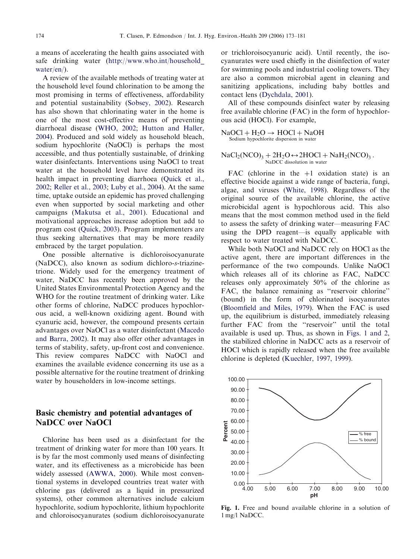a means of accelerating the health gains associated with safe drinking water ([http://www.who.int/household\\_](http://www.who.int/household_water/en/) [water/en/\)](http://www.who.int/household_water/en/).

A review of the available methods of treating water at the household level found chlorination to be among the most promising in terms of effectiveness, affordability and potential sustainability [\(Sobsey, 2002](#page-8-0)). Research has also shown that chlorinating water in the home is one of the most cost-effective means of preventing diarrhoeal disease ([WHO, 2002](#page-8-0); [Hutton and Haller,](#page-7-0) [2004\)](#page-7-0). Produced and sold widely as household bleach, sodium hypochlorite (NaOCl) is perhaps the most accessible, and thus potentially sustainable, of drinking water disinfectants. Interventions using NaOCl to treat water at the household level have demonstrated its health impact in preventing diarrhoea [\(Quick et al.,](#page-8-0) [2002;](#page-8-0) [Reller et al., 2003](#page-8-0); [Luby et al., 2004](#page-8-0)). At the same time, uptake outside an epidemic has proved challenging even when supported by social marketing and other campaigns [\(Makutsa et al., 2001](#page-8-0)). Educational and motivational approaches increase adoption but add to program cost ([Quick, 2003](#page-8-0)). Program implementers are thus seeking alternatives that may be more readily embraced by the target population.

One possible alternative is dichloroisocyanurate (NaDCC), also known as sodium dichloro-s-triazinetrione. Widely used for the emergency treatment of water, NaDCC has recently been approved by the United States Environmental Protection Agency and the WHO for the routine treatment of drinking water. Like other forms of chlorine, NaDCC produces hypochlorous acid, a well-known oxidizing agent. Bound with cyanuric acid, however, the compound presents certain advantages over NaOCl as a water disinfectant [\(Macedo](#page-8-0) [and Barra, 2002](#page-8-0)). It may also offer other advantages in terms of stability, safety, up-front cost and convenience. This review compares NaDCC with NaOCl and examines the available evidence concerning its use as a possible alternative for the routine treatment of drinking water by householders in low-income settings.

# Basic chemistry and potential advantages of NaDCC over NaOCl

Chlorine has been used as a disinfectant for the treatment of drinking water for more than 100 years. It is by far the most commonly used means of disinfecting water, and its effectiveness as a microbicide has been widely assessed [\(AWWA, 2000\)](#page-7-0). While most conventional systems in developed countries treat water with chlorine gas (delivered as a liquid in pressurized systems), other common alternatives include calcium hypochlorite, sodium hypochlorite, lithium hypochlorite and chloroisocyanurates (sodium dichloroisocyanurate or trichloroisocyanuric acid). Until recently, the isocyanurates were used chiefly in the disinfection of water for swimming pools and industrial cooling towers. They are also a common microbial agent in cleaning and sanitizing applications, including baby bottles and contact lens [\(Dychdala, 2001\)](#page-7-0).

All of these compounds disinfect water by releasing free available chlorine (FAC) in the form of hypochlorous acid (HOCl). For example,

 $NaOCl + H<sub>2</sub>O \rightarrow HOCl + NaOH$ Sodium hypochlorite dispersion in water

 $NaCl<sub>2</sub>(NCO)<sub>3</sub> + 2H<sub>2</sub>O \leftrightarrow 2HOCl + NaH<sub>2</sub>(NCO)<sub>3</sub>$ . NaDCC dissolution in water

FAC (chlorine in the  $+1$  oxidation state) is an effective biocide against a wide range of bacteria, fungi, algae, and viruses [\(White, 1998](#page-8-0)). Regardless of the original source of the available chlorine, the active microbicidal agent is hypochlorous acid. This also means that the most common method used in the field to assess the safety of drinking water—measuring FAC using the DPD reagent—is equally applicable with respect to water treated with NaDCC.

While both NaOCl and NaDCC rely on HOCl as the active agent, there are important differences in the performance of the two compounds. Unlike NaOCl which releases all of its chlorine as FAC, NaDCC releases only approximately 50% of the chlorine as FAC, the balance remaining as "reservoir chlorine" (bound) in the form of chlorinated isocyanurates ([Bloomfield and Miles, 1979](#page-7-0)). When the FAC is used up, the equilibrium is disturbed, immediately releasing further FAC from the "reservoir" until the total available is used up. Thus, as shown in Figs. 1 and 2, the stabilized chlorine in NaDCC acts as a reservoir of HOCl which is rapidly released when the free available chlorine is depleted ([Kuechler, 1997, 1999\)](#page-8-0).



Fig. 1. Free and bound available chlorine in a solution of 1 mg/l NaDCC.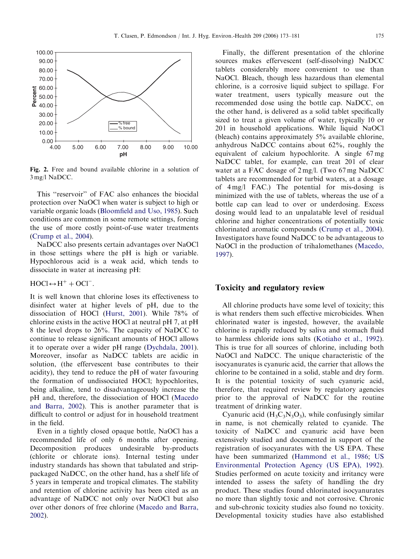

Fig. 2. Free and bound available chlorine in a solution of 3 mg/l NaDCC.

This ''reservoir'' of FAC also enhances the biocidal protection over NaOCl when water is subject to high or variable organic loads ([Bloomfield and Uso, 1985](#page-7-0)). Such conditions are common in some remote settings, forcing the use of more costly point-of-use water treatments ([Crump et al., 2004\)](#page-7-0).

NaDCC also presents certain advantages over NaOCl in those settings where the pH is high or variable. Hypochlorous acid is a weak acid, which tends to dissociate in water at increasing pH:

 $HOCl \leftrightarrow H^+ + OCl^-$ .

It is well known that chlorine loses its effectiveness to disinfect water at higher levels of pH, due to the dissociation of HOCl [\(Hurst, 2001](#page-7-0)). While 78% of chlorine exists in the active HOCl at neutral pH 7, at pH 8 the level drops to 26%. The capacity of NaDCC to continue to release significant amounts of HOCl allows it to operate over a wider pH range ([Dychdala, 2001\)](#page-7-0). Moreover, insofar as NaDCC tablets are acidic in solution, (the effervescent base contributes to their acidity), they tend to reduce the pH of water favouring the formation of undissociated HOCl; hypochlorites, being alkaline, tend to disadvantageously increase the pH and, therefore, the dissociation of HOCl ([Macedo](#page-8-0) [and Barra, 2002\)](#page-8-0). This is another parameter that is difficult to control or adjust for in household treatment in the field.

Even in a tightly closed opaque bottle, NaOCl has a recommended life of only 6 months after opening. Decomposition produces undesirable by-products (chlorite or chlorate ions). Internal testing under industry standards has shown that tabulated and strippackaged NaDCC, on the other hand, has a shelf life of 5 years in temperate and tropical climates. The stability and retention of chlorine activity has been cited as an advantage of NaDCC not only over NaOCl but also over other donors of free chlorine ([Macedo and Barra,](#page-8-0) [2002](#page-8-0)).

Finally, the different presentation of the chlorine sources makes effervescent (self-dissolving) NaDCC tablets considerably more convenient to use than NaOCl. Bleach, though less hazardous than elemental chlorine, is a corrosive liquid subject to spillage. For water treatment, users typically measure out the recommended dose using the bottle cap. NaDCC, on the other hand, is delivered as a solid tablet specifically sized to treat a given volume of water, typically 10 or 201 in household applications. While liquid NaOCl (bleach) contains approximately 5% available chlorine, anhydrous NaDCC contains about 62%, roughly the equivalent of calcium hypochlorite. A single 67 mg NaDCC tablet, for example, can treat 201 of clear water at a FAC dosage of 2 mg/l. (Two 67 mg NaDCC tablets are recommended for turbid waters, at a dosage of 4 mg/l FAC.) The potential for mis-dosing is minimized with the use of tablets, whereas the use of a bottle cap can lead to over or underdosing. Excess dosing would lead to an unpalatable level of residual chlorine and higher concentrations of potentially toxic chlorinated aromatic compounds [\(Crump et al., 2004\)](#page-7-0). Investigators have found NaDCC to be advantageous to NaOCl in the production of trihalomethanes [\(Macedo,](#page-8-0) [1997](#page-8-0)).

## Toxicity and regulatory review

All chlorine products have some level of toxicity; this is what renders them such effective microbicides. When chlorinated water is ingested, however, the available chlorine is rapidly reduced by saliva and stomach fluid to harmless chloride ions salts [\(Kotiaho et al., 1992\)](#page-7-0). This is true for all sources of chlorine, including both NaOCl and NaDCC. The unique characteristic of the isocyanurates is cyanuric acid, the carrier that allows the chlorine to be contained in a solid, stable and dry form. It is the potential toxicity of such cyanuric acid, therefore, that required review by regulatory agencies prior to the approval of NaDCC for the routine treatment of drinking water.

Cyanuric acid  $(H_3C_3N_3O_3)$ , while confusingly similar in name, is not chemically related to cyanide. The toxicity of NaDCC and cyanuric acid have been extensively studied and documented in support of the registration of isocyanurates with the US EPA. These have been summarized ([Hammond et al., 1986](#page-7-0); [US](#page-8-0) [Environmental Protection Agency \(US EPA\), 1992\)](#page-8-0). Studies performed on acute toxicity and irritancy were intended to assess the safety of handling the dry product. These studies found chlorinated isocyanurates no more than slightly toxic and not corrosive. Chronic and sub-chronic toxicity studies also found no toxicity. Developmental toxicity studies have also established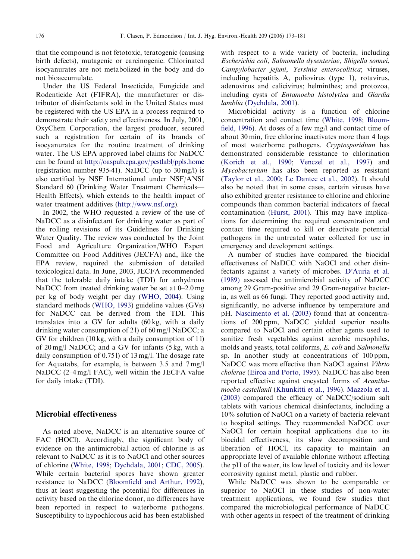that the compound is not fetotoxic, teratogenic (causing birth defects), mutagenic or carcinogenic. Chlorinated isocyanurates are not metabolized in the body and do not bioaccumulate.

Under the US Federal Insecticide, Fungicide and Rodenticide Act (FIFRA), the manufacturer or distributor of disinfectants sold in the United States must be registered with the US EPA in a process required to demonstrate their safety and effectiveness. In July, 2001, OxyChem Corporation, the largest producer, secured such a registration for certain of its brands of isocyanurates for the routine treatment of drinking water. The US EPA approved label claims for NaDCC can be found at <http://oaspub.epa.gov/pestlabl/ppls.home> (registration number 935-41). NaDCC (up to 30 mg/l) is also certified by NSF International under NSF/ANSI Standard 60 (Drinking Water Treatment Chemicals— Health Effects), which extends to the health impact of water treatment additives ([http://www.nsf.org\)](http://www.nsf.org).

In 2002, the WHO requested a review of the use of NaDCC as a disinfectant for drinking water as part of the rolling revisions of its Guidelines for Drinking Water Quality. The review was conducted by the Joint Food and Agriculture Organization/WHO Expert Committee on Food Additives (JECFA) and, like the EPA review, required the submission of detailed toxicological data. In June, 2003, JECFA recommended that the tolerable daily intake (TDI) for anhydrous NaDCC from treated drinking water be set at 0–2.0 mg per kg of body weight per day [\(WHO, 2004\)](#page-8-0). Using standard methods [\(WHO, 1993](#page-8-0)) guideline values (GVs) for NaDCC can be derived from the TDI. This translates into a GV for adults (60 kg, with a daily drinking water consumption of 2 l) of 60 mg/l NaDCC; a GV for children (10 kg, with a daily consumption of 1 l) of 20 mg/l NaDCC; and a GV for infants (5 kg, with a daily consumption of 0.75 l) of 13 mg/l. The dosage rate for Aquatabs, for example, is between 3.5 and 7 mg/l NaDCC (2–4 mg/l FAC), well within the JECFA value for daily intake (TDI).

#### Microbial effectiveness

As noted above, NaDCC is an alternative source of FAC (HOCl). Accordingly, the significant body of evidence on the antimicrobial action of chlorine is as relevant to NaDCC as it is to NaOCl and other sources of chlorine [\(White, 1998;](#page-8-0) [Dychdala, 2001](#page-7-0); [CDC, 2005\)](#page-7-0). While certain bacterial spores have shown greater resistance to NaDCC [\(Bloomfield and Arthur, 1992\)](#page-7-0), thus at least suggesting the potential for differences in activity based on the chlorine donor, no differences have been reported in respect to waterborne pathogens. Susceptibility to hypochlorous acid has been established

with respect to a wide variety of bacteria, including Escherichia coli, Salmonella dysenteriae, Shigella sonnei, Campylobacter jejuni, Yersinia enterocolitica; viruses, including hepatitis A, poliovirus (type 1), rotavirus, adenovirus and calicivirus; helminthes; and protozoa, including cysts of Entamoeba histolytica and Giardia lamblia [\(Dychdala, 2001](#page-7-0)).

Microbicidal activity is a function of chlorine concentration and contact time [\(White, 1998](#page-8-0); [Bloom](#page-7-0)[field, 1996\)](#page-7-0). At doses of a few mg/l and contact time of about 30 min, free chlorine inactivates more than 4 logs of most waterborne pathogens. Cryptosporidium has demonstrated considerable resistance to chlorination ([Korich et al., 1990;](#page-7-0) [Venczel et al., 1997\)](#page-8-0) and Mycobacterium has also been reported as resistant ([Taylor et al., 2000](#page-8-0); [Le Dantec et al., 2002](#page-8-0)). It should also be noted that in some cases, certain viruses have also exhibited greater resistance to chlorine and chlorine compounds than common bacterial indicators of faecal contamination ([Hurst, 2001](#page-7-0)). This may have implications for determining the required concentration and contact time required to kill or deactivate potential pathogens in the untreated water collected for use in emergency and development settings.

A number of studies have compared the biocidal effectiveness of NaDCC with NaOCl and other disinfectants against a variety of microbes. [D'Auria et al.](#page-7-0) [\(1989\)](#page-7-0) assessed the antimicrobial activity of NaDCC among 29 Gram-positive and 29 Gram-negative bacteria, as well as 66 fungi. They reported good activity and, significantly, no adverse influence by temperature and pH. [Nascimento et al. \(2003\)](#page-8-0) found that at concentrations of 200 ppm, NaDCC yielded superior results compared to NaOCl and certain other agents used to sanitize fresh vegetables against aerobic mesophiles, molds and yeasts, total coliforms, E. coli and Salmonella sp. In another study at concentrations of 100 ppm, NaDCC was more effective than NaOCl against Vibrio cholerae [\(Eiroa and Porto, 1995](#page-7-0)). NaDCC has also been reported effective against encysted forms of Acanthamoeba castellanii [\(Khunkitti et al., 1996](#page-7-0)). [Mazzola et al.](#page-8-0) [\(2003\)](#page-8-0) compared the efficacy of NaDCC/sodium salt tablets with various chemical disinfectants, including a 10% solution of NaOCl on a variety of bacteria relevant to hospital settings. They recommended NaDCC over NaOCl for certain hospital applications due to its biocidal effectiveness, its slow decomposition and liberation of HOCl, its capacity to maintain an appropriate level of available chlorine without affecting the pH of the water, its low level of toxicity and its lower corrosivity against metal, plastic and rubber.

While NaDCC was shown to be comparable or superior to NaOCl in these studies of non-water treatment applications, we found few studies that compared the microbiological performance of NaDCC with other agents in respect of the treatment of drinking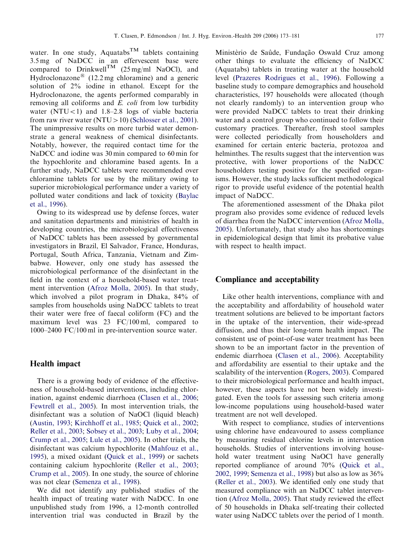water. In one study, Aquatabs<sup>TM</sup> tablets containing 3.5 mg of NaDCC in an effervescent base were compared to Drinkwell<sup>TM</sup> (25 mg/ml NaOCl), and Hydroclonazone<sup>®</sup> (12.2 mg chloramine) and a generic solution of 2% iodine in ethanol. Except for the Hydroclonazone, the agents performed comparably in removing all coliforms and E. coli from low turbidity water  $(NTU<1)$  and 1.8–2.8 logs of viable bacteria from raw river water (NTU  $>$  10) [\(Schlosser et al., 2001\)](#page-8-0). The unimpressive results on more turbid water demonstrate a general weakness of chemical disinfectants. Notably, however, the required contact time for the NaDCC and iodine was 30 min compared to 60 min for the hypochlorite and chloramine based agents. In a further study, NaDCC tablets were recommended over chloramine tablets for use by the military owing to superior microbiological performance under a variety of polluted water conditions and lack of toxicity ([Baylac](#page-7-0) [et al., 1996\)](#page-7-0).

Owing to its widespread use by defense forces, water and sanitation departments and ministries of health in developing countries, the microbiological effectiveness of NaDCC tablets has been assessed by governmental investigators in Brazil, El Salvador, France, Honduras, Portugal, South Africa, Tanzania, Vietnam and Zimbabwe. However, only one study has assessed the microbiological performance of the disinfectant in the field in the context of a household-based water treatment intervention ([Afroz Molla, 2005\)](#page-7-0). In that study, which involved a pilot program in Dhaka, 84% of samples from households using NaDCC tablets to treat their water were free of faecal coliform (FC) and the maximum level was 23 FC/100 ml, compared to 1000–2400 FC/100 ml in pre-intervention source water.

#### Health impact

There is a growing body of evidence of the effectiveness of household-based interventions, including chlorination, against endemic diarrhoea [\(Clasen et al., 2006;](#page-7-0) [Fewtrell et al., 2005\)](#page-7-0). In most intervention trials, the disinfectant was a solution of NaOCl (liquid bleach) ([Austin, 1993](#page-7-0); [Kirchhoff et al., 1985;](#page-7-0) [Quick et al., 2002;](#page-8-0) [Reller et al., 2003](#page-8-0); [Sobsey et al., 2003;](#page-8-0) [Luby et al., 2004;](#page-8-0) [Crump et al., 2005;](#page-7-0) [Lule et al., 2005](#page-8-0)). In other trials, the disinfectant was calcium hypochlorite ([Mahfouz et al.,](#page-8-0) [1995](#page-8-0)), a mixed oxidant ([Quick et al., 1999](#page-8-0)) or sachets containing calcium hypochlorite [\(Reller et al., 2003;](#page-8-0) [Crump et al., 2005\)](#page-7-0). In one study, the source of chlorine was not clear [\(Semenza et al., 1998\)](#page-8-0).

We did not identify any published studies of the health impact of treating water with NaDCC. In one unpublished study from 1996, a 12-month controlled intervention trial was conducted in Brazil by the Ministèrio de Saûde, Fundação Oswald Cruz among other things to evaluate the efficiency of NaDCC (Aquatabs) tablets in treating water at the household level ([Prazeres Rodrigues et al., 1996](#page-8-0)). Following a baseline study to compare demographics and household characteristics, 197 households were allocated (though not clearly randomly) to an intervention group who were provided NaDCC tablets to treat their drinking water and a control group who continued to follow their customary practices. Thereafter, fresh stool samples were collected periodically from householders and examined for certain enteric bacteria, protozoa and helminthes. The results suggest that the intervention was protective, with lower proportions of the NaDCC householders testing positive for the specified organisms. However, the study lacks sufficient methodological rigor to provide useful evidence of the potential health impact of NaDCC.

The aforementioned assessment of the Dhaka pilot program also provides some evidence of reduced levels of diarrhea from the NaDCC intervention [\(Afroz Molla,](#page-7-0) [2005](#page-7-0)). Unfortunately, that study also has shortcomings in epidemiological design that limit its probative value with respect to health impact.

#### Compliance and acceptability

Like other health interventions, compliance with and the acceptability and affordability of household water treatment solutions are believed to be important factors in the uptake of the intervention, their wide-spread diffusion, and thus their long-term health impact. The consistent use of point-of-use water treatment has been shown to be an important factor in the prevention of endemic diarrhoea [\(Clasen et al., 2006](#page-7-0)). Acceptability and affordability are essential to their uptake and the scalability of the intervention ([Rogers, 2003\)](#page-8-0). Compared to their microbiological performance and health impact, however, these aspects have not been widely investigated. Even the tools for assessing such criteria among low-income populations using household-based water treatment are not well developed.

With respect to compliance, studies of interventions using chlorine have endeavoured to assess compliance by measuring residual chlorine levels in intervention households. Studies of interventions involving household water treatment using NaOCl have generally reported compliance of around 70% [\(Quick et al.,](#page-8-0) [2002, 1999;](#page-8-0) [Semenza et al., 1998\)](#page-8-0) but also as low as 36% ([Reller et al., 2003\)](#page-8-0). We identified only one study that measured compliance with an NaDCC tablet intervention ([Afroz Molla, 2005](#page-7-0)). That study reviewed the effect of 50 households in Dhaka self-treating their collected water using NaDCC tablets over the period of 1 month.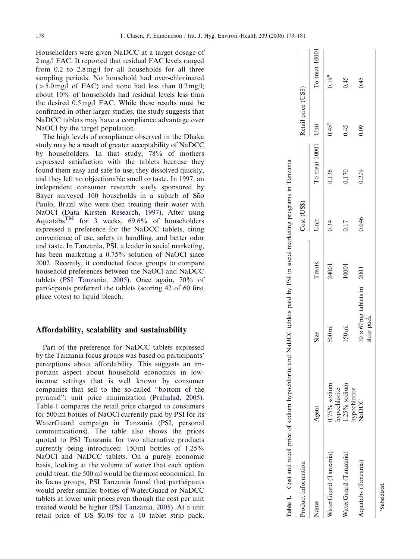Householders were given NaDCC at a target dosage of 2 mg/l FAC. It reported that residual FAC levels ranged from 0.2 to 2.8 mg/l for all households for all three sampling periods. No household had over-chlorinated  $(5.0 \text{ mg/l of FAC})$  and none had less than 0.2 mg/l; about 10% of households had residual levels less than the desired 0.5 mg/l FAC. While these results must be confirmed in other larger studies, the study suggests that NaDCC tablets may have a compliance advantage over NaOCl by the target population.

The high levels of compliance observed in the Dhaka study may be a result of greater acceptability of NaDCC by householders. In that study, 78% of mothers expressed satisfaction with the tablets because they found them easy and safe to use, they dissolved quickly, and they left no objectionable smell or taste. In 1997, an independent consumer research study sponsored by Bayer surveyed 100 households in a suburb of São Paulo, Brazil who were then treating their water with NaOCl [\(Data Kirsten Research, 1997\)](#page-7-0). After using Aquatabs<sup>TM</sup> for 3 weeks,  $69.6\%$  of householders expressed a preference for the NaDCC tablets, citing convenience of use, safety in handling, and better odor and taste. In Tanzania, PSI, a leader in social marketing, has been marketing a 0.75% solution of NaOCl since 2002. Recently, it conducted focus groups to compare household preferences between the NaOCl and NaDCC tablets ([PSI Tanzania, 2005](#page-8-0)). Once again, 70% of participants preferred the tablets (scoring 42 of 60 first place votes) to liquid bleach.

#### Affordability, scalability and sustainability

Part of the preference for NaDCC tablets expressed by the Tanzania focus groups was based on participants' perceptions about affordability. This suggests an important aspect about household economics in lowincome settings that is well known by consumer companies that sell to the so-called ''bottom of the pyramid'': unit price minimization [\(Prahalad, 2005\)](#page-8-0). Table 1 compares the retail price charged to consumers for 500 ml bottles of NaOCl currently paid by PSI for its WaterGuard campaign in Tanzania (PSI, personal communications). The table also shows the prices quoted to PSI Tanzania for two alternative products currently being introduced: 150 ml bottles of 1.25% NaOCl and NaDCC tablets. On a purely economic basis, looking at the volume of water that each option could treat, the 500 ml would be the most economical. In its focus groups, PSI Tanzania found that participants would prefer smaller bottles of WaterGuard or NaDCC tablets at lower unit prices even though the cost per unit treated would be higher [\(PSI Tanzania, 2005](#page-8-0)). At a unit retail price of US \$0.09 for a 10 tablet strip pack,

| Product information   |                                |                                   |        | Cost (US\$) |                     | Retail price (US\$) |                |
|-----------------------|--------------------------------|-----------------------------------|--------|-------------|---------------------|---------------------|----------------|
| Name                  | Agent                          | Size                              | Treats | Unit        | To treat 10001 Unit |                     | To treat 10001 |
| WaterGuard (Tanzania) | $0.75\%$ sodium                | $500 \text{ ml}$                  | 24001  | 0.34        | 0.136               | $0.45^{a}$          | $0.19^{a}$     |
| WaterGuard (Tanzania) | $.25\%$ sodium<br>hypochlorite | 150 <sub>ml</sub>                 | 10001  | 0.17        | 0.170               | 0.45                | 0.45           |
| Aquatabs (Tanzania)   | hypochlorite<br>NaDCC          | $10 \times 67$ mg tablets in 2001 |        | 0.046       | 0.229               | 0.09                | 0.45           |
|                       |                                | strip pack                        |        |             |                     |                     |                |
| aSubsidized.          |                                |                                   |        |             |                     |                     |                |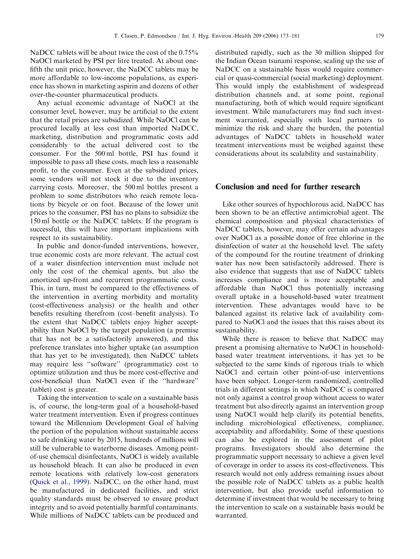NaDCC tablets will be about twice the cost of the  $0.75\%$ NaOCl marketed by PSI per litre treated. At about onefifth the unit price, however, the NaDCC tablets may be more affordable to low-income populations, as experience has shown in marketing aspirin and dozens of other over-the-counter pharmaceutical products.

Any actual economic advantage of NaOCl at the consumer level, however, may be artificial to the extent that the retail prices are subsidized. While NaOCl can be procured locally at less cost than imported NaDCC, marketing, distribution and programmatic costs add considerably to the actual delivered cost to the consumer. For the 500 ml bottle, PSI has found it impossible to pass all these costs, much less a reasonable profit, to the consumer. Even at the subsidized prices, some vendors will not stock it due to the inventory carrying costs. Moreover, the 500 ml bottles present a problem to some distributors who reach remote locations by bicycle or on foot. Because of the lower unit prices to the consumer, PSI has no plans to subsidize the 150 ml bottle or the NaDCC tablets. If the program is successful, this will have important implications with respect to its sustainability.

In public and donor-funded interventions, however, true economic costs are more relevant. The actual cost of a water disinfection intervention must include not only the cost of the chemical agents, but also the amortized up-front and recurrent programmatic costs. This, in turn, must be compared to the effectiveness of the intervention in averting morbidity and mortality (cost-effectiveness analysis) or the health and other benefits resulting therefrom (cost–benefit analysis). To the extent that NaDCC tablets enjoy higher acceptability than NaOCl by the target population (a premise that has not be a satisfactorily answered), and this preference translates into higher uptake (an assumption that has yet to be investigated), then NaDCC tablets may require less ''software'' (programmatic) cost to optimize utilization and thus be more cost-effective and cost-beneficial than NaOCl even if the ''hardware'' (tablet) cost is greater.

Taking the intervention to scale on a sustainable basis is, of course, the long-term goal of a household-based water treatment intervention. Even if progress continues toward the Millennium Development Goal of halving the portion of the population without sustainable access to safe drinking water by 2015, hundreds of millions will still be vulnerable to waterborne diseases. Among pointof-use chemical disinfectants, NaOCl is widely available as household bleach. It can also be produced in even remote locations with relatively low-cost generators ([Quick et al., 1999](#page-8-0)). NaDCC, on the other hand, must be manufactured in dedicated facilities, and strict quality standards must be observed to ensure product integrity and to avoid potentially harmful contaminants. While millions of NaDCC tablets can be produced and distributed rapidly, such as the 30 million shipped for the Indian Ocean tsunami response, scaling up the use of NaDCC on a sustainable basis would require commercial or quasi-commercial (social marketing) deployment. This would imply the establishment of widespread distribution channels and, at some point, regional manufacturing, both of which would require significant investment. While manufacturers may find such investment warranted, especially with local partners to minimize the risk and share the burden, the potential advantages of NaDCC tablets in household water treatment interventions must be weighed against these considerations about its scalability and sustainability.

# Conclusion and need for further research

Like other sources of hypochlorous acid, NaDCC has been shown to be an effective antimicrobial agent. The chemical composition and physical characteristics of NaDCC tablets, however, may offer certain advantages over NaOCl as a possible donor of free chlorine in the disinfection of water at the household level. The safety of the compound for the routine treatment of drinking water has now been satisfactorily addressed. There is also evidence that suggests that use of NaDCC tablets increases compliance and is more acceptable and affordable than NaOCl thus potentially increasing overall uptake in a household-based water treatment intervention. These advantages would have to be balanced against its relative lack of availability compared to NaOCl and the issues that this raises about its sustainability.

While there is reason to believe that NaDCC may present a promising alternative to NaOCl in householdbased water treatment interventions, it has yet to be subjected to the same kinds of rigorous trials to which NaOCl and certain other point-of-use interventions have been subject. Longer-term randomized, controlled trials in different settings in which NaDCC is compared not only against a control group without access to water treatment but also directly against an intervention group using NaOCl would help clarify its potential benefits, including microbiological effectiveness, compliance, acceptability and affordability. Some of these questions can also be explored in the assessment of pilot programs. Investigators should also determine the programmatic support necessary to achieve a given level of coverage in order to assess its cost-effectiveness. This research would not only address remaining issues about the possible role of NaDCC tablets as a public health intervention, but also provide useful information to determine if investment that would be necessary to bring the intervention to scale on a sustainable basis would be warranted.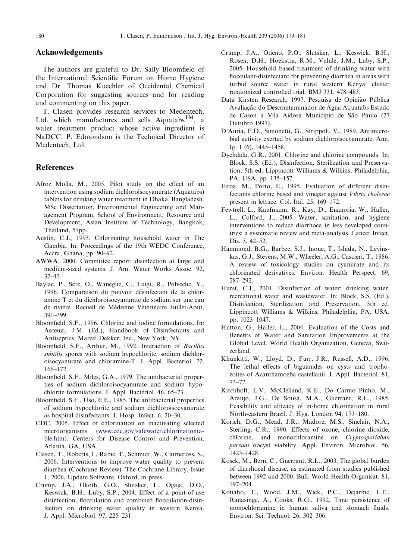### <span id="page-7-0"></span>Acknowledgements

The authors are grateful to Dr. Sally Bloomfield of the International Scientific Forum on Home Hygiene and Dr. Thomas Kuechler of Occidental Chemical Corporation for suggesting sources and for reading and commenting on this paper.

T. Clasen provides research services to Medentech, Ltd. which manufactures and sells Aquatabs<sup>TM</sup>, a water treatment product whose active ingredient is NaDCC. P. Edmondson is the Technical Director of Medentech, Ltd.

#### References

- Afroz Molla, M., 2005. Pilot study on the effect of an intervention using sodium dichloroisocyanurate (Aquatabs) tablets for drinking water treatment in Dhaka, Bangladesh. MSc Dissertation, Environmental Engineering and Management Program, School of Environment, Resource and Development, Asian Institute of Technology, Bangkok, Thailand, 57pp.
- Austin, C.J., 1993. Chlorinating household water in The Gambia. In: Proceedings of the 19th WEDC Conference, Accra, Ghana, pp. 90–92.
- AWWA, 2000. Committee report: disinfection at large and medium-sized systems. J. Am. Water Works Assoc. 92, 32–43.
- Baylac, P., Sere, O., Wanegue, C., Luigi, R., Polveche, Y., 1996. Comparaison du pouvoir désinfectant de la chloramine T et du dichloroisocyanurate de sodium sur une eau de rivière. Recueil de Médecine Vétérinaire Juillet/Août, 391–399.
- Bloomfield, S.F., 1996. Chlorine and iodine formulations. In: Ascenzi, J.M. (Ed.), Handbook of Disinfectants and Antiseptics. Marcel Dekker, Inc., New York, NY.
- Bloomfield, S.F., Arthur, M., 1992. Interaction of Bacillus subtilis spores with sodium hypochlorite, sodium dichloroisocyanurate and chloramine-T. J. Appl. Bacteriol. 72, 166–172.
- Bloomfield, S.F., Miles, G.A., 1979. The antibacterial properties of sodium dichloroisocyanurate and sodium hypochlorite formulations. J. Appl. Bacteriol. 46, 65–73.
- Bloomfield, S.F., Uso, E.E., 1985. The antibacterial properties of sodium hypochlorite and sodium dichloroisocyanurate as hospital disinfectants. J. Hosp. Infect. 6, 20–30.
- CDC, 2005. Effect of chlorination on inactivating selected microorganisms [\(www.cdc.gov/safewater/chlorinationta](http://www.cdc.gov/safewater/chlorinationtable.htm)[ble.htm\)](http://www.cdc.gov/safewater/chlorinationtable.htm). Centers for Disease Control and Prevention, Atlanta, GA, USA.
- Clasen, T., Roberts, I., Rabie, T., Schmidt, W., Cairncross, S., 2006. Interventions to improve water quality to prevent diarrhea (Cochrane Review). The Cochrane Library, Issue 1, 2006, Update Software, Oxford, in press.
- Crump, J.A., Okoth, G.O., Slutsker, L., Ogaja, D.O., Keswick, B.H., Luby, S.P., 2004. Effect of a point-of-use disinfection, flocculation and combined flocculation-disinfection on drinking water quality in western Kenya. J. Appl. Microbiol. 97, 225–231.
- Crump, J.A., Otieno, P.O., Slutsker, L., Keswick, B.H., Rosen, D.H., Hoekstra, R.M., Vulule, J.M., Luby, S.P., 2005. Household based treatment of drinking water with flocculant-disinfectant for preventing diarrhea in areas with turbid source water in rural western Kenya: cluster randomized controlled trial. BMJ 331, 478–483.
- Data Kirsten Research, 1997. Pesquisa de Opinião Pública Avaliação do Descomtaminador de Água Aquatabs Estudo de Cason a Vila Aidosa Municipio de São Paulo (27 Outubro 1997).
- D'Auria, F.D., Simonetti, G., Strippoli, V., 1989. Antimicrobial activity exerted by sodium dichloroisocyanurate. Ann. Ig. 1 (6), 1445–1458.
- Dychdala, G.R., 2001. Chlorine and chlorine compounds. In: Block, S.S. (Ed.), Disinfection, Sterilization and Preservation, 5th ed. Lippincott Williams & Wilkins, Philadelphia, PA, USA, pp. 135–157.
- Eiroa, M., Porto, E., 1995. Evaluation of different disinfectants chlorine based and vinegar against Vibrio cholerae present in lettuce. Col. Ital. 25, 169–172.
- Fewtrell, L., Kaufmann, R., Kay, D., Enanoria, W., Haller, L., Colford, J., 2005. Water, sanitation, and hygiene interventions to reduce diarrhoea in less developed countries: a systematic review and meta-analysis. Lancet Infect. Dis. 5, 42–52.
- Hammond, B.G., Barbee, S.J., Inoue, T., Ishida, N., Levinskas, G.J., Stevens, M.W., Wheeler, A.G., Cascieri, T., 1986. A review of toxicology studies on cyanurate and its chlorinated derivatives. Environ. Health Perspect. 69, 287–292.
- Hurst, C.J., 2001. Disinfection of water: drinking water, recreational water and wastewater. In: Block, S.S. (Ed.), Disinfection, Sterilization and Preservation, 5th ed. Lippincott Williams & Wilkins, Philadelphia, PA, USA, pp. 1023–1047.
- Hutton, G., Haller, L., 2004. Evaluation of the Costs and Benefits of Water and Sanitation Improvements at the Global Level. World Health Organization, Geneva, Switzerland.
- Khunkitti, W., Lloyd, D., Furr, J.R., Russell, A.D., 1996. The lethal effects of biguanides on cysts and trophozoites of Acanthamoeba castellanii. J. Appl. Bacteriol. 81, 73–77.
- Kirchhoff, L.V., McClelland, K.E., Do Carmo Pinho, M., Araujo, J.G., De Sousa, M.A., Guerrant, R.L., 1985. Feasibility and efficacy of in-home chlorination in rural North-eastern Brazil. J. Hyg. London 94, 173–180.
- Korich, D.G., Mead, J.R., Madore, M.S., Sinclair, N.A., Sterling, C.R., 1990. Effects of ozone, chlorine dioxide, chlorine, and monochloramine on Cryptosporidium parvum oocyst viability. Appl. Environ. Microbiol. 56, 1423–1428.
- Kosek, M., Bern, C., Guerrant, R.L., 2003. The global burden of diarrhoeal disease, as estimated from studies published between 1992 and 2000. Bull. World Health Organisat. 81, 197–204.
- Kotiaho, T., Wood, J.M., Wick, P.C., Dejarme, L.E., Ranasinge, A., Cooks, R.G., 1992. Time persistence of monochloramine in human saliva and stomach fluids. Environ. Sci. Technol. 26, 302–306.